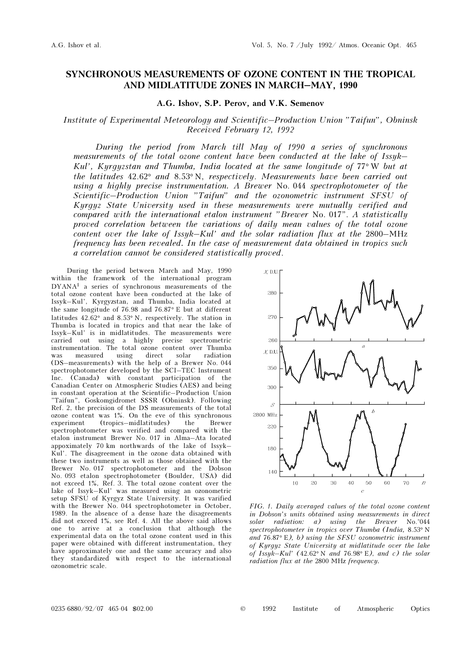## SYNCHRONOUS MEASUREMENTS OF OZONE CONTENT IN THE TROPICAL AND MIDLATITUDE ZONES IN MARCH–MAY, 1990

## A.G. Ishov, S.P. Perov, and V.K. Semenov

## Institute of Experimental Meteorology and Scientific–Production Union "Taifun", Obninsk Received February 12, 1992

During the period from March till May of 1990 a series of synchronous measurements of the total ozone content have been conducted at the lake of Issyk– Kul', Kyrgyzstan and Thumba, India located at the same longitude of  $77^{\circ}$  W but at the latitudes 42.62° and 8.53° N, respectively. Measurements have been carried out using a highly precise instrumentation. A Brewer No. 044 spectrophotometer of the Scientific–Production Union "Taifun" and the ozonometric instrument SFSU of Kyrgyz State University used in these measurements were mutually verified and compared with the international etalon instrument "Brewer No. 017". A statistically proved correlation between the variations of daily mean values of the total ozone content over the lake of Issyk–Kul' and the solar radiation flux at the 2800–MHz frequency has been revealed. In the case of measurement data obtained in tropics such a correlation cannot be considered statistically proved.

During the period between March and May, 1990 within the framework of the international program DYANA1 a series of synchronous measurements of the total ozone content have been conducted at the lake of Issyk–Kul', Kyrgyzstan, and Thumba, India located at the same longitude of 76.98 and 76.87° E but at different latitudes 42.62° and 8.53° N, respectively. The station in Thumba is located in tropics and that near the lake of Issyk–Kul' is in midlatitudes. The measurements were carried out using a highly precise spectrometric instrumentation. The total ozone content over Thumba was measured using direct solar radiation (DS–measurements) with the help of a Brewer No. 044 spectrophotometer developed by the SCI–TEC Instrument Inc. (Canada) with constant participation of the Canadian Center on Atmospheric Studies (AES) and being in constant operation at the Scientific–Production Union "Taifun", Goskomgidromet SSSR (Obninsk). Following Ref. 2, the precision of the DS measurements of the total ozone content was 1%. On the eve of this synchronous experiment (tropics–midlatitudes) the Brewer spectrophotometer was verified and compared with the etalon instrument Brewer No. 017 in Alma–Ata located appoximately 70 km northwards of the lake of Issyk– Kul'. The disagreement in the ozone data obtained with these two instruments as well as those obtained with the Brewer No. 017 spectrophotometer and the Dobson No. 093 etalon spectrophotometer (Boulder, USA) did not exceed 1%, Ref. 3. The total ozone content over the lake of Issyk–Kul' was measured using an ozonometric setup SFSU of Kyrgyz State University. It was varified with the Brewer No. 044 spectrophotometer in October, 1989. In the absence of a dense haze the disagreements did not exceed 1%, see Ref. 4. All the above said allows one to arrive at a conclusion that although the experimental data on the total ozone content used in this paper were obtained with different instrumentation, they have approximately one and the same accuracy and also they standardized with respect to the international ozonometric scale.



FIG. 1. Daily averaged values of the total ozone content in Dobson's units obtained using measurements in direct solar radiation: a) using the Brewer No.°044 spectrophotometer in tropics over Thumba (India, 8.53° N and 76.87° E), b) using the SFSU ozonometric instrument of Kyrgyz State University at midlatitude over the lake of Issyk–Kul' (42.62° N and 76.98° E), and c) the solar radiation flux at the 2800 MHz frequency.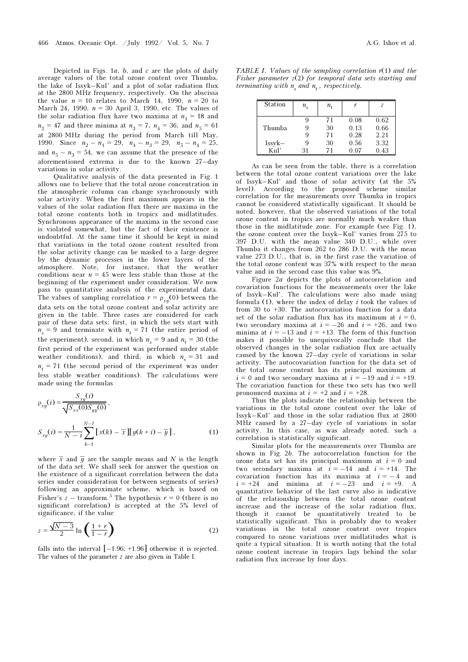Depicted in Figs.  $1a$ ,  $b$ , and  $c$  are the plots of daily average values of the total ozone content over Thumba, the lake of Issyk–Kul' and a plot of solar radiation flux at the 2800 MHz frequency, respectively. On the abscissa the value  $n = 10$  relates to March 14, 1990,  $n = 20$  to March 24, 1990,  $n = 30$  April 3, 1990, etc. The values of the solar radiation flux have two maxima at  $n_1 = 18$  and  $n_2 = 47$  and three minima at  $n_3 = 7$ ,  $n_4 = 36$ , and  $n_5 = 61$ at 2800 MHz during the period from March till May, 1990. Since  $n_2 - n_1 = 29$ ,  $n_4 - n_3 = 29$ ,  $n_5 - n_4 = 25$ , and  $n_5 - n_3 = 54$ , we can assume that the presence of the aforementioned extrema is due to the known 27–day variations in solar activity.

Qualitative analysis of the data presented in Fig. 1 allows one to believe that the total ozone concentration in the atmospheric column can change synchronously with solar activity. When the first maximum appears in the values of the solar radiation flux there are maxima in the total ozone contents both in tropics and midlatitudes. Synchronous appearance of the maxima in the second case is violated somewhat, but the fact of their existence is undoubtful. At the same time it should be kept in mind that variations in the total ozone content resulted from the solar activity change can be masked to a large degree by the dynamic processes in the lower layers of the atmosphere. Note, for instance, that the weather conditions near  $n = 45$  were less stable than those at the beginning of the experiment under consideration. We now pass to quantitative analysis of the experimental data. The values of sampling correlation  $r = \rho_{xy}(0)$  between the data sets on the total ozone content and solar activity are given in the table. Three cases are considered for each pair of these data sets: first, in which the sets start with  $n_s = 9$  and terminate with  $n_t = 71$  (the entire period of the experiment), second, in which  $n_s = 9$  and  $n_t = 30$  (the first period of the experiment was performed under stable weather conditions), and third, in which  $n_s = 31$  and  $n_t$  = 71 (the second period of the experiment was under less stable weather conditions). The calculations were made using the formulas

$$
\rho_{xy}(i) = \frac{S_{xy}(i)}{\sqrt{S_{xx}(0)S_{yy}(0)}},
$$
\n
$$
S_{xy}(i) = \frac{1}{N-i} \sum_{k=1}^{N-i} \left[ x(k) - \overline{x} \right] \left[ y(k+i) - \overline{y} \right],
$$
\n(1)

where  $\bar{x}$  and  $\bar{y}$  are the sample means and N is the length of the data set. We shall seek for answer the question on the existence of a significant correlation between the data series under consideration (or between segments of series) following an approximate scheme, which is based on Fisher's z – transform.<sup>5</sup> The hypothesis  $r = 0$  (there is no significant correlation) is accepted at the 5% level of significance, if the value

$$
z = \frac{\sqrt{N-3}}{2} \ln \left( \frac{1+r}{1-r} \right) \tag{2}
$$

falls into the interval  $[-1.96; +1.96]$  otherwise it is rejected. The values of the parameter z are also given in Table I.

TABLE I. Values of the sampling correlation  $r(1)$  and the Fisher parameter  $z(2)$  for temporal data sets starting and terminating with  $n_s$  and  $n_t$ , respectively.

| <b>Station</b>   | $n_{\rm s}$ | $n_{\rm t}$    |                      | 7                    |
|------------------|-------------|----------------|----------------------|----------------------|
| Thumba           | ч<br>9      | 71<br>30<br>71 | 0.08<br>0.13<br>0.28 | 0.62<br>0.66<br>2.21 |
| $Issyk-$<br>Kul' | 9<br>31     | 30<br>71       | 0.56<br>0.07         | 3.32<br>0.43         |

As can be seen from the table, there is a correlation between the total ozone content variations over the lake of Issyk–Kul' and those of solar activity (at the 5% level). According to the proposed scheme similar correlation for the measurements over Thumba in tropics cannot be considered statistically significant. It should be noted, however, that the observed variations of the total ozone content in tropics are normally much weaker than those in the midlatitude zone. For example (see Fig. 1), the ozone content over the Issyk–Kul' varies from 275 to 397 D.U. with the mean value 340 D.U., while over Thumba it changes from 262 to 286 D.U. with the mean value 273 D.U., that is, in the first case the variation of the total ozone content was 37% with respect to the mean value and in the second case this value was 9%.

Figure 2a depicts the plots of autocorrelation and covariation functions for the measurements over the lake of Issyk–Kul'. The calculations were also made using formula  $(1)$ , where the index of delay i took the values of from 30 to +30. The autocovariation function for a data set of the solar radiation flux has its maximum at  $i = 0$ , two secondary maxima at  $i = -26$  and  $i = +26$ , and two minima at  $i = -13$  and  $i = +13$ . The form of this function makes it possible to unequivocally conclude that the observed changes in the solar radiation flux are actually caused by the known 27–day cycle of variations in solar activity. The autocovariation function for the data set of the total ozone content has its principal maximum at  $i = 0$  and two secondary maxima at  $i = -19$  and  $i = +19$ . The covariation function for these two sets has two well pronounced maxima at  $i = +2$  and  $i = +28$ .

Thus the plots indicate the relationship between the variations in the total ozone content over the lake of Issyk–Kul' and those in the solar radiation flux at 2800 MHz caused by a 27–day cycle of variations in solar activity. In this case, as was already noted, such a correlation is statistically significant.

Similar plots for the measurements over Thumba are shown in Fig. 2b. The autocorrelation function for the ozone data set has its principal maximum at  $i = 0$  and two secondary maxima at  $i = -14$  and  $i = +14$ . The covariation function has its maxima at  $i = -4$  and  $i = +24$  and minima at  $i = -23$  and  $i = +9$ . A quantitative behavior of the last curve also is indicative of the relationship between the total ozone content increase and the increase of the solar radiation flux, though it cannot be quantitatively treated to be statistically significant. This is probably due to weaker variations in the total ozone content over tropics compared to ozone variations over midlatitudes what is quite a typical situation. It is worth noting that the total ozone content increase in tropics lags behind the solar radiation flux increase by four days.